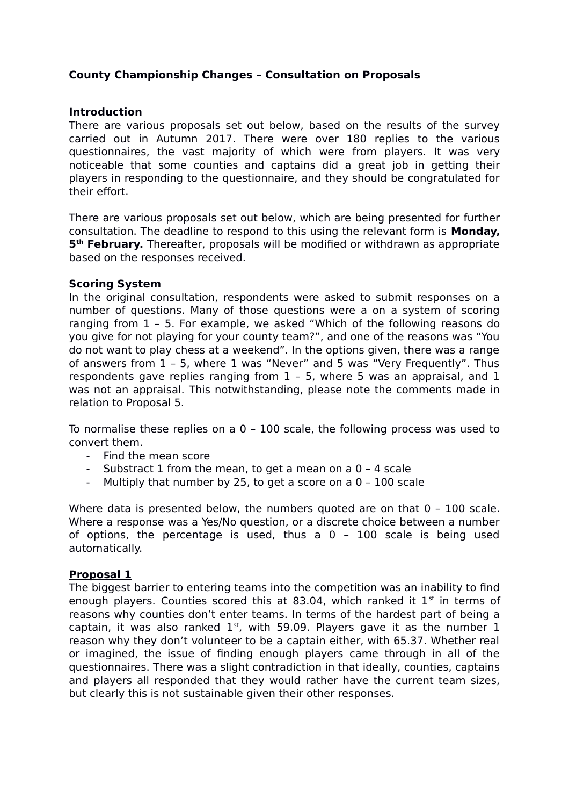# **County Championship Changes – Consultation on Proposals**

# **Introduction**

There are various proposals set out below, based on the results of the survey carried out in Autumn 2017. There were over 180 replies to the various questionnaires, the vast majority of which were from players. It was very noticeable that some counties and captains did a great job in getting their players in responding to the questionnaire, and they should be congratulated for their effort.

There are various proposals set out below, which are being presented for further consultation. The deadline to respond to this using the relevant form is **Monday, 5 th February.** Thereafter, proposals will be modified or withdrawn as appropriate based on the responses received.

### **Scoring System**

In the original consultation, respondents were asked to submit responses on a number of questions. Many of those questions were a on a system of scoring ranging from 1 – 5. For example, we asked "Which of the following reasons do you give for not playing for your county team?", and one of the reasons was "You do not want to play chess at a weekend". In the options given, there was a range of answers from 1 – 5, where 1 was "Never" and 5 was "Very Frequently". Thus respondents gave replies ranging from 1 – 5, where 5 was an appraisal, and 1 was not an appraisal. This notwithstanding, please note the comments made in relation to Proposal 5.

To normalise these replies on a 0 – 100 scale, the following process was used to convert them.

- Find the mean score
- Substract 1 from the mean, to get a mean on a  $0 4$  scale
- Multiply that number by 25, to get a score on a  $0 100$  scale

Where data is presented below, the numbers quoted are on that  $0 - 100$  scale. Where a response was a Yes/No question, or a discrete choice between a number of options, the percentage is used, thus a 0 – 100 scale is being used automatically.

#### **Proposal 1**

The biggest barrier to entering teams into the competition was an inability to find enough players. Counties scored this at 83.04, which ranked it  $1<sup>st</sup>$  in terms of reasons why counties don't enter teams. In terms of the hardest part of being a captain, it was also ranked  $1<sup>st</sup>$ , with 59.09. Players gave it as the number 1 reason why they don't volunteer to be a captain either, with 65.37. Whether real or imagined, the issue of finding enough players came through in all of the questionnaires. There was a slight contradiction in that ideally, counties, captains and players all responded that they would rather have the current team sizes, but clearly this is not sustainable given their other responses.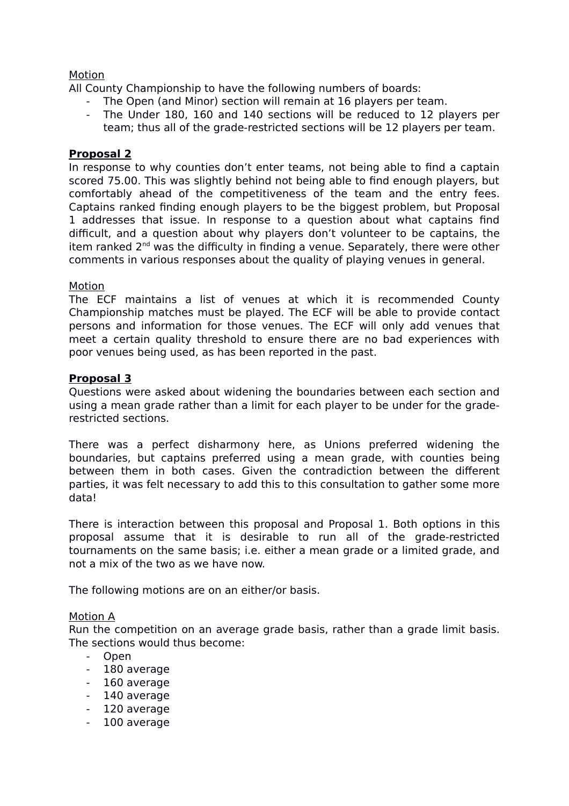# Motion

All County Championship to have the following numbers of boards:

- The Open (and Minor) section will remain at 16 players per team.
- The Under 180, 160 and 140 sections will be reduced to 12 players per team; thus all of the grade-restricted sections will be 12 players per team.

#### **Proposal 2**

In response to why counties don't enter teams, not being able to find a captain scored 75.00. This was slightly behind not being able to find enough players, but comfortably ahead of the competitiveness of the team and the entry fees. Captains ranked finding enough players to be the biggest problem, but Proposal 1 addresses that issue. In response to a question about what captains find difficult, and a question about why players don't volunteer to be captains, the item ranked  $2<sup>nd</sup>$  was the difficulty in finding a venue. Separately, there were other comments in various responses about the quality of playing venues in general.

#### Motion

The ECF maintains a list of venues at which it is recommended County Championship matches must be played. The ECF will be able to provide contact persons and information for those venues. The ECF will only add venues that meet a certain quality threshold to ensure there are no bad experiences with poor venues being used, as has been reported in the past.

### **Proposal 3**

Questions were asked about widening the boundaries between each section and using a mean grade rather than a limit for each player to be under for the graderestricted sections.

There was a perfect disharmony here, as Unions preferred widening the boundaries, but captains preferred using a mean grade, with counties being between them in both cases. Given the contradiction between the different parties, it was felt necessary to add this to this consultation to gather some more data!

There is interaction between this proposal and Proposal 1. Both options in this proposal assume that it is desirable to run all of the grade-restricted tournaments on the same basis; i.e. either a mean grade or a limited grade, and not a mix of the two as we have now.

The following motions are on an either/or basis.

#### Motion A

Run the competition on an average grade basis, rather than a grade limit basis. The sections would thus become:

- Open
- 180 average
- 160 average
- 140 average
- 120 average
- 100 average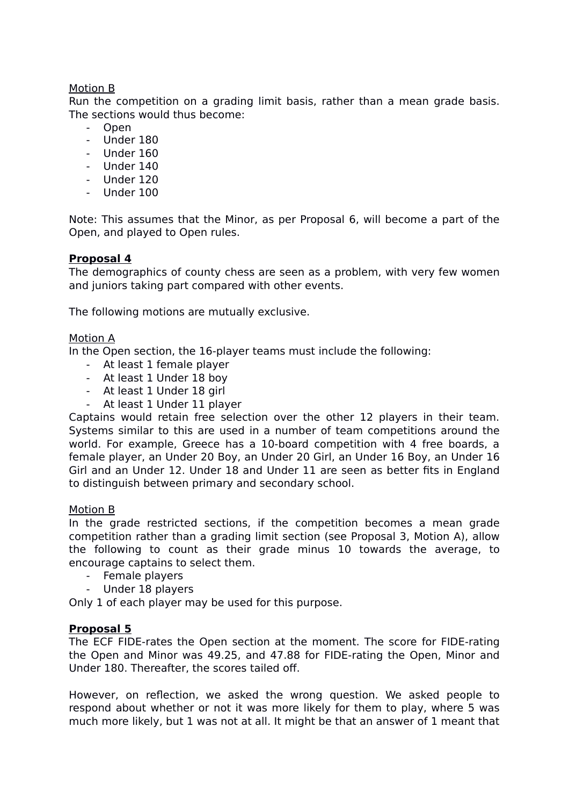# Motion B

Run the competition on a grading limit basis, rather than a mean grade basis. The sections would thus become:

- Open
- Under 180
- Under 160
- Under 140
- Under 120
- Under 100

Note: This assumes that the Minor, as per Proposal 6, will become a part of the Open, and played to Open rules.

### **Proposal 4**

The demographics of county chess are seen as a problem, with very few women and juniors taking part compared with other events.

The following motions are mutually exclusive.

### Motion A

In the Open section, the 16-player teams must include the following:

- At least 1 female player
- At least 1 Under 18 boy
- At least 1 Under 18 girl
- At least 1 Under 11 player

Captains would retain free selection over the other 12 players in their team. Systems similar to this are used in a number of team competitions around the world. For example, Greece has a 10-board competition with 4 free boards, a female player, an Under 20 Boy, an Under 20 Girl, an Under 16 Boy, an Under 16 Girl and an Under 12. Under 18 and Under 11 are seen as better fits in England to distinguish between primary and secondary school.

#### Motion B

In the grade restricted sections, if the competition becomes a mean grade competition rather than a grading limit section (see Proposal 3, Motion A), allow the following to count as their grade minus 10 towards the average, to encourage captains to select them.

- Female players
- Under 18 players

Only 1 of each player may be used for this purpose.

#### **Proposal 5**

The ECF FIDE-rates the Open section at the moment. The score for FIDE-rating the Open and Minor was 49.25, and 47.88 for FIDE-rating the Open, Minor and Under 180. Thereafter, the scores tailed off.

However, on reflection, we asked the wrong question. We asked people to respond about whether or not it was more likely for them to play, where 5 was much more likely, but 1 was not at all. It might be that an answer of 1 meant that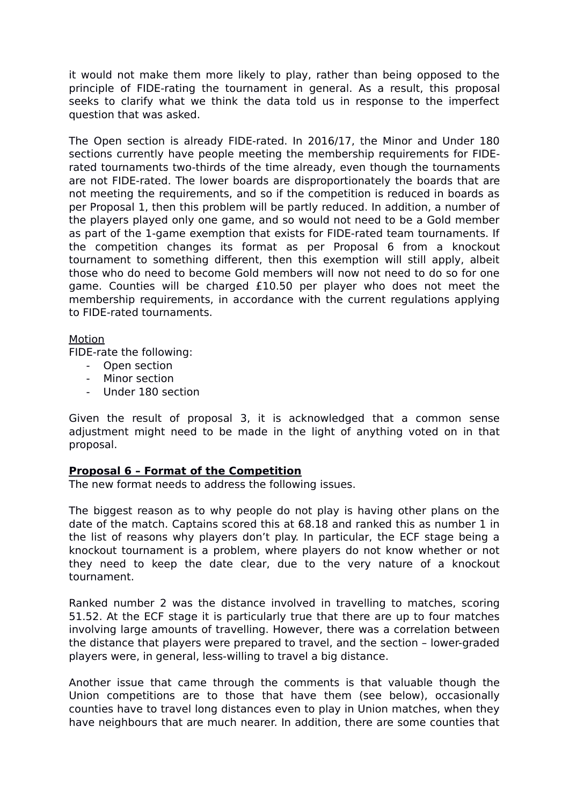it would not make them more likely to play, rather than being opposed to the principle of FIDE-rating the tournament in general. As a result, this proposal seeks to clarify what we think the data told us in response to the imperfect question that was asked.

The Open section is already FIDE-rated. In 2016/17, the Minor and Under 180 sections currently have people meeting the membership requirements for FIDErated tournaments two-thirds of the time already, even though the tournaments are not FIDE-rated. The lower boards are disproportionately the boards that are not meeting the requirements, and so if the competition is reduced in boards as per Proposal 1, then this problem will be partly reduced. In addition, a number of the players played only one game, and so would not need to be a Gold member as part of the 1-game exemption that exists for FIDE-rated team tournaments. If the competition changes its format as per Proposal 6 from a knockout tournament to something different, then this exemption will still apply, albeit those who do need to become Gold members will now not need to do so for one game. Counties will be charged £10.50 per player who does not meet the membership requirements, in accordance with the current regulations applying to FIDE-rated tournaments.

### Motion

FIDE-rate the following:

- Open section
- Minor section
- Under 180 section

Given the result of proposal 3, it is acknowledged that a common sense adjustment might need to be made in the light of anything voted on in that proposal.

# **Proposal 6 – Format of the Competition**

The new format needs to address the following issues.

The biggest reason as to why people do not play is having other plans on the date of the match. Captains scored this at 68.18 and ranked this as number 1 in the list of reasons why players don't play. In particular, the ECF stage being a knockout tournament is a problem, where players do not know whether or not they need to keep the date clear, due to the very nature of a knockout tournament.

Ranked number 2 was the distance involved in travelling to matches, scoring 51.52. At the ECF stage it is particularly true that there are up to four matches involving large amounts of travelling. However, there was a correlation between the distance that players were prepared to travel, and the section – lower-graded players were, in general, less-willing to travel a big distance.

Another issue that came through the comments is that valuable though the Union competitions are to those that have them (see below), occasionally counties have to travel long distances even to play in Union matches, when they have neighbours that are much nearer. In addition, there are some counties that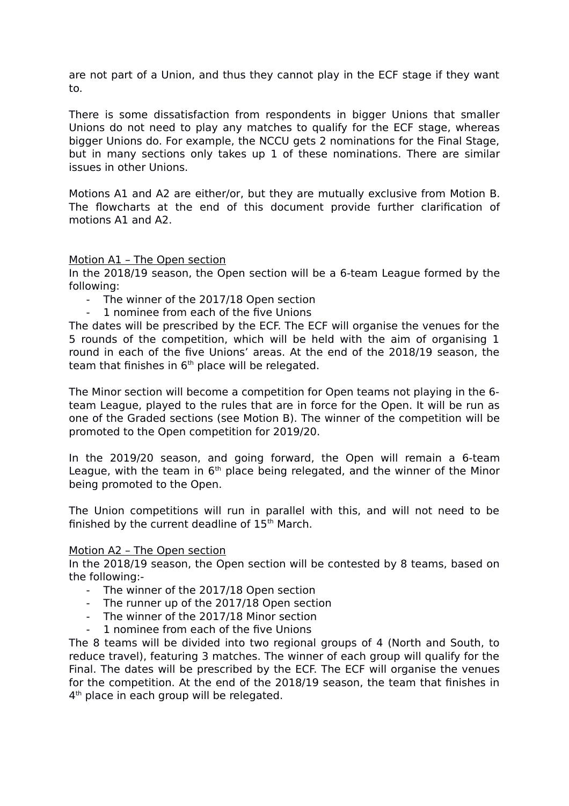are not part of a Union, and thus they cannot play in the ECF stage if they want to.

There is some dissatisfaction from respondents in bigger Unions that smaller Unions do not need to play any matches to qualify for the ECF stage, whereas bigger Unions do. For example, the NCCU gets 2 nominations for the Final Stage, but in many sections only takes up 1 of these nominations. There are similar issues in other Unions.

Motions A1 and A2 are either/or, but they are mutually exclusive from Motion B. The flowcharts at the end of this document provide further clarification of motions A1 and A2.

### Motion A1 – The Open section

In the 2018/19 season, the Open section will be a 6-team League formed by the following:

- The winner of the 2017/18 Open section
- 1 nominee from each of the five Unions

The dates will be prescribed by the ECF. The ECF will organise the venues for the 5 rounds of the competition, which will be held with the aim of organising 1 round in each of the five Unions' areas. At the end of the 2018/19 season, the team that finishes in  $6<sup>th</sup>$  place will be relegated.

The Minor section will become a competition for Open teams not playing in the 6 team League, played to the rules that are in force for the Open. It will be run as one of the Graded sections (see Motion B). The winner of the competition will be promoted to the Open competition for 2019/20.

In the 2019/20 season, and going forward, the Open will remain a 6-team League, with the team in  $6<sup>th</sup>$  place being relegated, and the winner of the Minor being promoted to the Open.

The Union competitions will run in parallel with this, and will not need to be finished by the current deadline of  $15<sup>th</sup>$  March.

#### Motion A2 – The Open section

In the 2018/19 season, the Open section will be contested by 8 teams, based on the following:-

- The winner of the 2017/18 Open section
- The runner up of the 2017/18 Open section
- The winner of the 2017/18 Minor section
- 1 nominee from each of the five Unions

The 8 teams will be divided into two regional groups of 4 (North and South, to reduce travel), featuring 3 matches. The winner of each group will qualify for the Final. The dates will be prescribed by the ECF. The ECF will organise the venues for the competition. At the end of the 2018/19 season, the team that finishes in 4<sup>th</sup> place in each group will be relegated.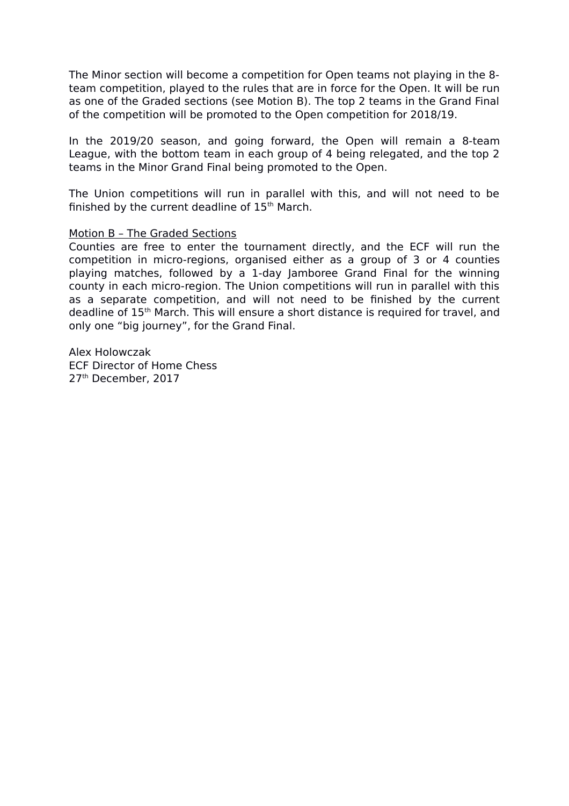The Minor section will become a competition for Open teams not playing in the 8 team competition, played to the rules that are in force for the Open. It will be run as one of the Graded sections (see Motion B). The top 2 teams in the Grand Final of the competition will be promoted to the Open competition for 2018/19.

In the 2019/20 season, and going forward, the Open will remain a 8-team League, with the bottom team in each group of 4 being relegated, and the top 2 teams in the Minor Grand Final being promoted to the Open.

The Union competitions will run in parallel with this, and will not need to be finished by the current deadline of  $15<sup>th</sup>$  March.

#### Motion B – The Graded Sections

Counties are free to enter the tournament directly, and the ECF will run the competition in micro-regions, organised either as a group of 3 or 4 counties playing matches, followed by a 1-day Jamboree Grand Final for the winning county in each micro-region. The Union competitions will run in parallel with this as a separate competition, and will not need to be finished by the current deadline of 15th March. This will ensure a short distance is required for travel, and only one "big journey", for the Grand Final.

Alex Holowczak ECF Director of Home Chess 27<sup>th</sup> December, 2017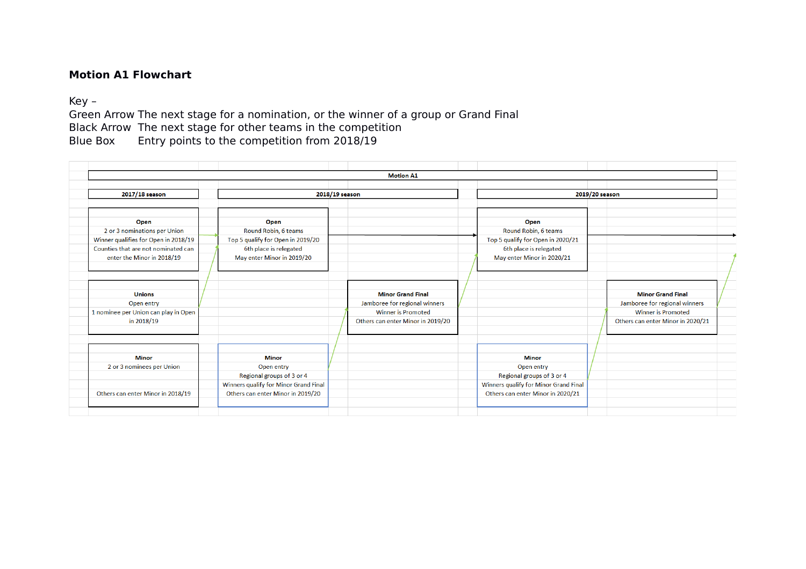# **Motion A1 Flowchart**

# Key –

Green Arrow The next stage for a nomination, or the winner of a group or Grand Final Black Arrow The next stage for other teams in the competition Blue Box Entry points to the competition from 2018/19

| <b>Motion A1</b>                     |  |                                       |  |                                   |  |                                       |  |                                   |  |  |  |
|--------------------------------------|--|---------------------------------------|--|-----------------------------------|--|---------------------------------------|--|-----------------------------------|--|--|--|
|                                      |  |                                       |  |                                   |  |                                       |  |                                   |  |  |  |
| 2017/18 season                       |  | 2018/19 season                        |  |                                   |  | 2019/20 season                        |  |                                   |  |  |  |
|                                      |  |                                       |  |                                   |  |                                       |  |                                   |  |  |  |
|                                      |  |                                       |  |                                   |  |                                       |  |                                   |  |  |  |
| Open                                 |  | Open                                  |  |                                   |  | Open                                  |  |                                   |  |  |  |
| 2 or 3 nominations per Union         |  | Round Robin, 6 teams                  |  |                                   |  | Round Robin, 6 teams                  |  |                                   |  |  |  |
| Winner qualifies for Open in 2018/19 |  | Top 5 qualify for Open in 2019/20     |  |                                   |  | Top 5 qualify for Open in 2020/21     |  |                                   |  |  |  |
| Counties that are not nominated can  |  | 6th place is relegated                |  |                                   |  | 6th place is relegated                |  |                                   |  |  |  |
| enter the Minor in 2018/19           |  | May enter Minor in 2019/20            |  |                                   |  | May enter Minor in 2020/21            |  |                                   |  |  |  |
|                                      |  |                                       |  |                                   |  |                                       |  |                                   |  |  |  |
|                                      |  |                                       |  |                                   |  |                                       |  |                                   |  |  |  |
|                                      |  |                                       |  |                                   |  |                                       |  |                                   |  |  |  |
| <b>Unions</b>                        |  |                                       |  | <b>Minor Grand Final</b>          |  |                                       |  | <b>Minor Grand Final</b>          |  |  |  |
| Open entry                           |  |                                       |  | Jamboree for regional winners     |  |                                       |  | Jamboree for regional winners     |  |  |  |
| 1 nominee per Union can play in Open |  |                                       |  | <b>Winner is Promoted</b>         |  |                                       |  | <b>Winner is Promoted</b>         |  |  |  |
| in 2018/19                           |  |                                       |  | Others can enter Minor in 2019/20 |  |                                       |  | Others can enter Minor in 2020/21 |  |  |  |
|                                      |  |                                       |  |                                   |  |                                       |  |                                   |  |  |  |
|                                      |  |                                       |  |                                   |  |                                       |  |                                   |  |  |  |
|                                      |  |                                       |  |                                   |  |                                       |  |                                   |  |  |  |
| <b>Minor</b>                         |  | <b>Minor</b>                          |  |                                   |  | <b>Minor</b>                          |  |                                   |  |  |  |
| 2 or 3 nominees per Union            |  | Open entry                            |  |                                   |  | Open entry                            |  |                                   |  |  |  |
|                                      |  | Regional groups of 3 or 4             |  |                                   |  | Regional groups of 3 or 4             |  |                                   |  |  |  |
|                                      |  | Winners qualify for Minor Grand Final |  |                                   |  | Winners qualify for Minor Grand Final |  |                                   |  |  |  |
| Others can enter Minor in 2018/19    |  | Others can enter Minor in 2019/20     |  |                                   |  | Others can enter Minor in 2020/21     |  |                                   |  |  |  |
|                                      |  |                                       |  |                                   |  |                                       |  |                                   |  |  |  |
|                                      |  |                                       |  |                                   |  |                                       |  |                                   |  |  |  |